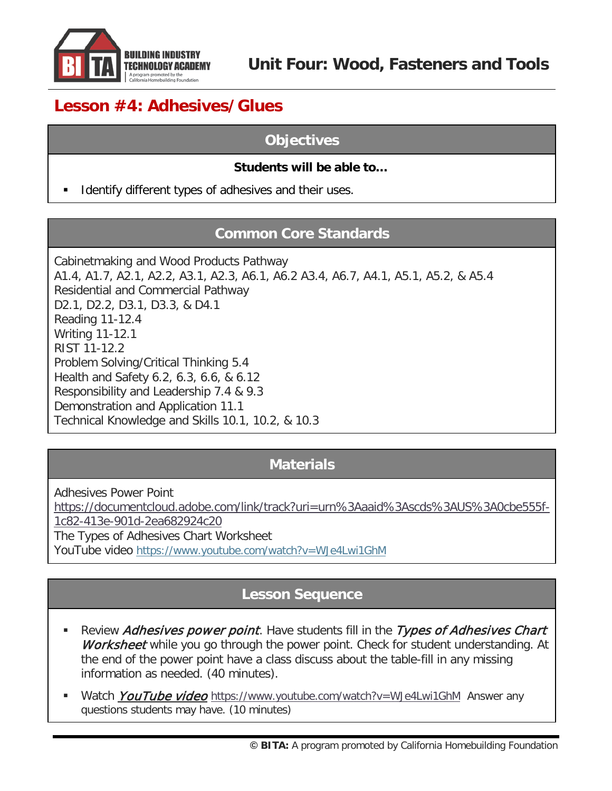

# **Lesson #4: Adhesives/Glues**

### **Objectives**

#### **Students will be able to…**

Identify different types of adhesives and their uses.

### **Common Core Standards**

Cabinetmaking and Wood Products Pathway A1.4, A1.7, A2.1, A2.2, A3.1, A2.3, A6.1, A6.2 A3.4, A6.7, A4.1, A5.1, A5.2, & A5.4 Residential and Commercial Pathway D2.1, D2.2, D3.1, D3.3, & D4.1 Reading 11-12.4 Writing 11-12.1 RIST 11-12.2 Problem Solving/Critical Thinking 5.4 Health and Safety 6.2, 6.3, 6.6, & 6.12 Responsibility and Leadership 7.4 & 9.3 Demonstration and Application 11.1 Technical Knowledge and Skills 10.1, 10.2, & 10.3

### **Materials**

Adhesives Power Point [https://documentcloud.adobe.com/link/track?uri=urn%3Aaaid%3Ascds%3AUS%3A0cbe555f-](https://documentcloud.adobe.com/link/track?uri=urn%3Aaaid%3Ascds%3AUS%3A0cbe555f-1c82-413e-901d-2ea682924c20)[1c82-413e-901d-2ea682924c20](https://documentcloud.adobe.com/link/track?uri=urn%3Aaaid%3Ascds%3AUS%3A0cbe555f-1c82-413e-901d-2ea682924c20) The Types of Adhesives Chart Worksheet YouTube video <https://www.youtube.com/watch?v=WJe4Lwi1GhM>

### **Lesson Sequence**

- Review Adhesives power point. Have students fill in the Types of Adhesives Chart Worksheet while you go through the power point. Check for student understanding. At the end of the power point have a class discuss about the table-fill in any missing information as needed. (40 minutes).
- Watch *YouTube video* <https://www.youtube.com/watch?v=WJe4Lwi1GhM>Answer any questions students may have. (10 minutes)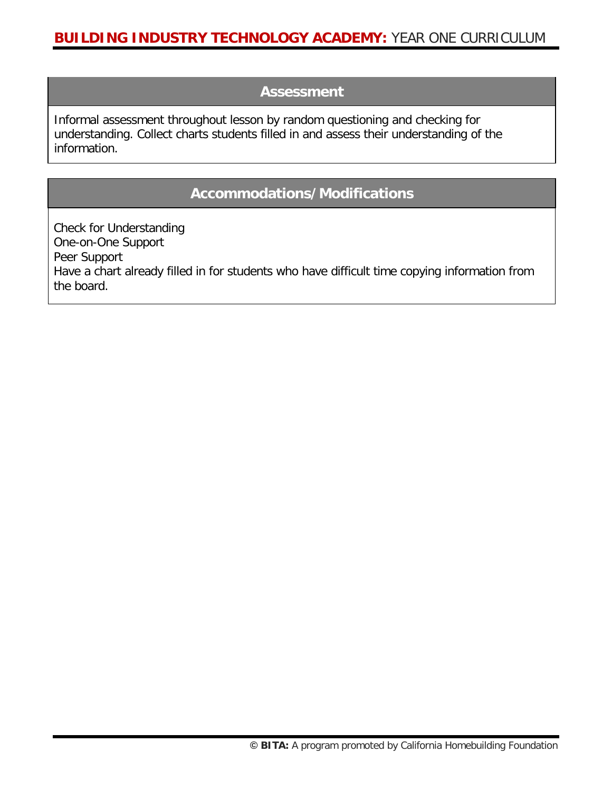#### **Assessment**

Informal assessment throughout lesson by random questioning and checking for understanding. Collect charts students filled in and assess their understanding of the information.

### **Accommodations/Modifications**

Check for Understanding One-on-One Support Peer Support Have a chart already filled in for students who have difficult time copying information from the board.